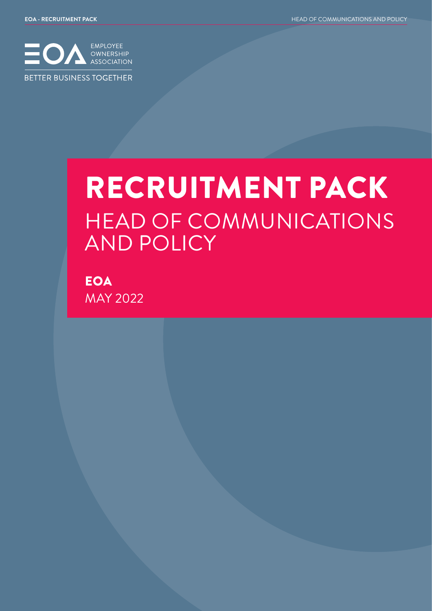

# RECRUITMENT PACK HEAD OF COMMUNICATIONS AND POLICY

**EOA** MAY 2022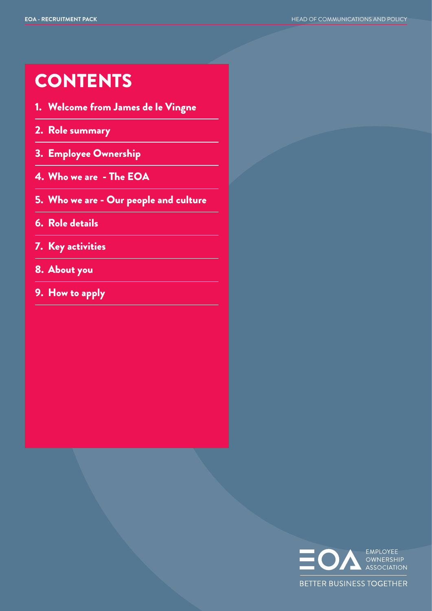### **CONTENTS**

- 1. Welcome from James de le Vingne
- 2. Role summary
- 3. Employee Ownership
- 4. Who we are The EOA
- 5. Who we are Our people and culture
- 6. Role details
- 7. Key activities
- 8. About you
- 9. How to apply

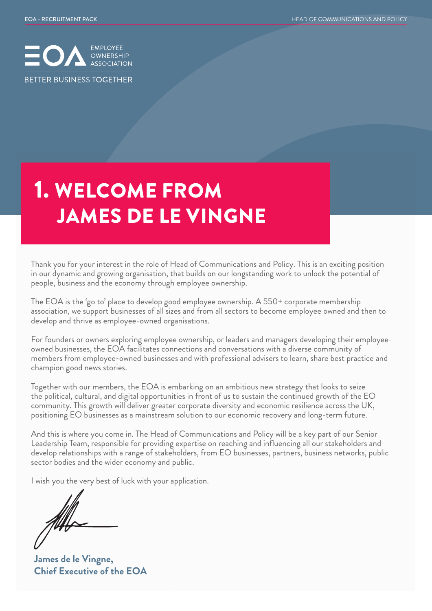

## 1. WELCOME FROM JAMES DE LE VINGNE

Thank you for your interest in the role of Head of Communications and Policy. This is an exciting position in our dynamic and growing organisation, that builds on our longstanding work to unlock the potential of people, business and the economy through employee ownership.

The EOA is the 'go to' place to develop good employee ownership. A 550+ corporate membership association, we support businesses of all sizes and from all sectors to become employee owned and then to develop and thrive as employee-owned organisations.

For founders or owners exploring employee ownership, or leaders and managers developing their employeeowned businesses, the EOA facilitates connections and conversations with a diverse community of members from employee-owned businesses and with professional advisers to learn, share best practice and champion good news stories.

Together with our members, the EOA is embarking on an ambitious new strategy that looks to seize the political, cultural, and digital opportunities in front of us to sustain the continued growth of the EO community. This growth will deliver greater corporate diversity and economic resilience across the UK, positioning EO businesses as a mainstream solution to our economic recovery and long-term future.

And this is where you come in. The Head of Communications and Policy will be a key part of our Senior Leadership Team, responsible for providing expertise on reaching and influencing all our stakeholders and develop relationships with a range of stakeholders, from EO businesses, partners, business networks, public sector bodies and the wider economy and public.

I wish you the very best of luck with your application.

**James de le Vingne, Chief Executive of the EOA**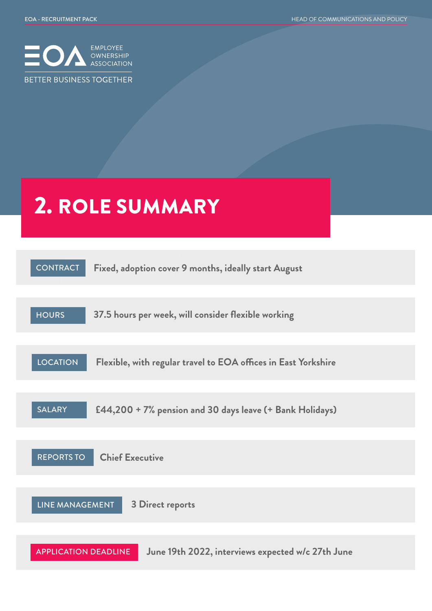

# 2. ROLE SUMMARY

| <b>CONTRACT</b><br>Fixed, adoption cover 9 months, ideally start August           |
|-----------------------------------------------------------------------------------|
| 37.5 hours per week, will consider flexible working<br><b>HOURS</b>               |
|                                                                                   |
| <b>LOCATION</b><br>Flexible, with regular travel to EOA offices in East Yorkshire |
| <b>SALARY</b><br>£44,200 + 7% pension and 30 days leave (+ Bank Holidays)         |
|                                                                                   |
| <b>Chief Executive</b><br><b>REPORTS TO</b>                                       |
|                                                                                   |
| LINE MANAGEMENT<br><b>3 Direct reports</b>                                        |
|                                                                                   |
| June 19th 2022, interviews expected w/c 27th June<br><b>APPLICATION DEADLINE</b>  |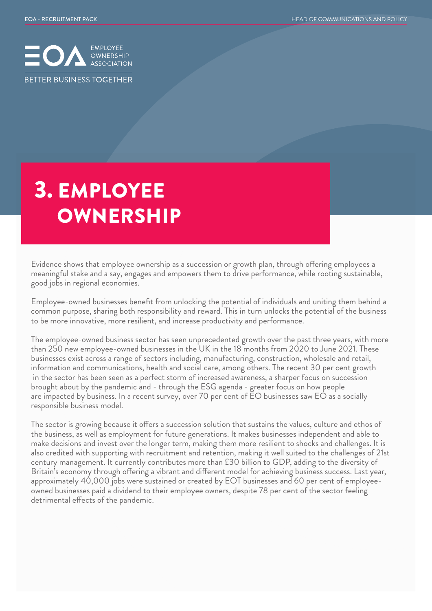

# 3. EMPLOYEE **OWNERSHIP**

Evidence shows that employee ownership as a succession or growth plan, through offering employees a meaningful stake and a say, engages and empowers them to drive performance, while rooting sustainable, good jobs in regional economies.

Employee-owned businesses benefit from unlocking the potential of individuals and uniting them behind a common purpose, sharing both responsibility and reward. This in turn unlocks the potential of the business to be more innovative, more resilient, and increase productivity and performance.

The employee-owned business sector has seen unprecedented growth over the past three years, with more than 250 new employee-owned businesses in the UK in the 18 months from 2020 to June 2021. These businesses exist across a range of sectors including, manufacturing, construction, wholesale and retail, information and communications, health and social care, among others. The recent 30 per cent growth in the sector has been seen as a perfect storm of increased awareness, a sharper focus on succession brought about by the pandemic and - through the ESG agenda - greater focus on how people are impacted by business. In a recent survey, over 70 per cent of EO businesses saw EO as a socially responsible business model.

The sector is growing because it offers a succession solution that sustains the values, culture and ethos of the business, as well as employment for future generations. It makes businesses independent and able to make decisions and invest over the longer term, making them more resilient to shocks and challenges. It is also credited with supporting with recruitment and retention, making it well suited to the challenges of 21st century management. It currently contributes more than £30 billion to GDP, adding to the diversity of Britain's economy through offering a vibrant and different model for achieving business success. Last year, approximately 40,000 jobs were sustained or created by EOT businesses and 60 per cent of employeeowned businesses paid a dividend to their employee owners, despite 78 per cent of the sector feeling detrimental effects of the pandemic.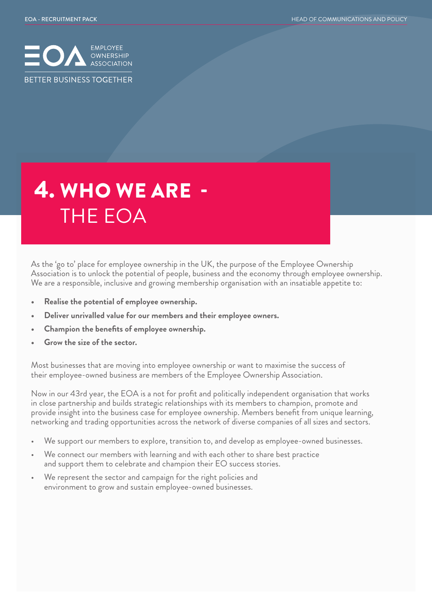

# 4. WHO WE ARE - THE EOA

As the 'go to' place for employee ownership in the UK, the purpose of the Employee Ownership Association is to unlock the potential of people, business and the economy through employee ownership. We are a responsible, inclusive and growing membership organisation with an insatiable appetite to:

- **• Realise the potential of employee ownership.**
- **• Deliver unrivalled value for our members and their employee owners.**
- **• Champion the benefits of employee ownership.**
- **• Grow the size of the sector.**

Most businesses that are moving into employee ownership or want to maximise the success of their employee-owned business are members of the Employee Ownership Association.

Now in our 43rd year, the EOA is a not for profit and politically independent organisation that works in close partnership and builds strategic relationships with its members to champion, promote and provide insight into the business case for employee ownership. Members benefit from unique learning, networking and trading opportunities across the network of diverse companies of all sizes and sectors.

- We support our members to explore, transition to, and develop as employee-owned businesses.
- We connect our members with learning and with each other to share best practice and support them to celebrate and champion their EO success stories.
- We represent the sector and campaign for the right policies and environment to grow and sustain employee-owned businesses.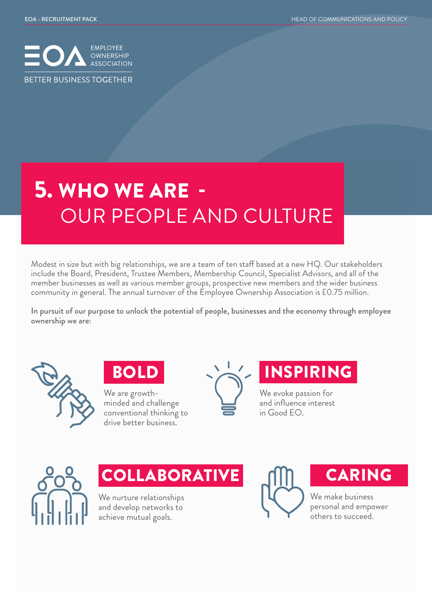

# 5. WHO WE ARE - OUR PEOPLE AND CULTURE

Modest in size but with big relationships, we are a team of ten staff based at a new HQ. Our stakeholders include the Board, President, Trustee Members, Membership Council, Specialist Advisors, and all of the member businesses as well as various member groups, prospective new members and the wider business community in general. The annual turnover of the Employee Ownership Association is £0.75 million.

In pursuit of our purpose to unlock the potential of people, businesses and the economy through employee ownership we are:



BOLD

We are growthminded and challenge conventional thinking to drive better business.



#### INSPIRING

We evoke passion for and influence interest in Good EO.



**COLLABORATIVE** 

We nurture relationships and develop networks to achieve mutual goals.



### CARING

We make business personal and empower others to succeed.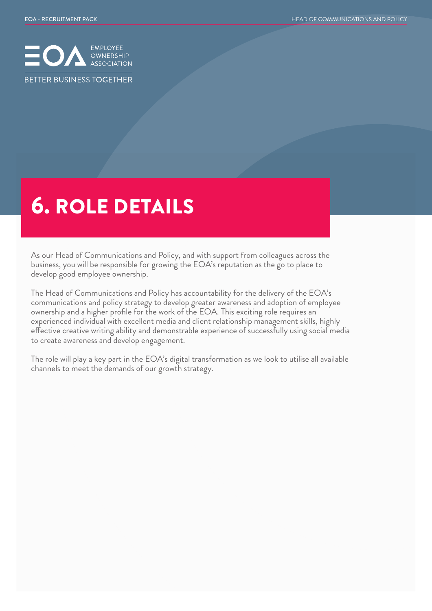

### 6. ROLE DETAILS

As our Head of Communications and Policy, and with support from colleagues across the business, you will be responsible for growing the EOA's reputation as the go to place to develop good employee ownership.

The Head of Communications and Policy has accountability for the delivery of the EOA's communications and policy strategy to develop greater awareness and adoption of employee ownership and a higher profile for the work of the EOA. This exciting role requires an experienced individual with excellent media and client relationship management skills, highly effective creative writing ability and demonstrable experience of successfully using social media to create awareness and develop engagement.

The role will play a key part in the EOA's digital transformation as we look to utilise all available channels to meet the demands of our growth strategy.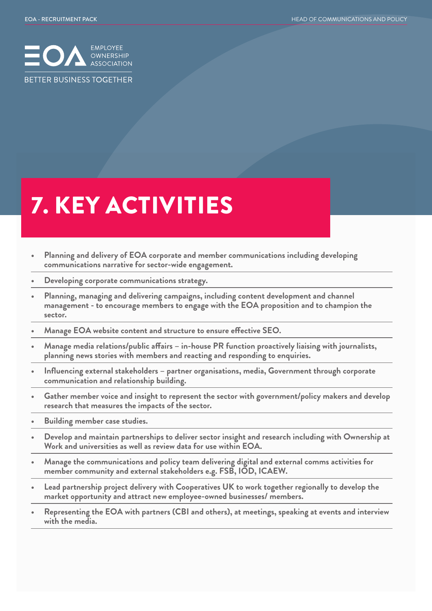

# 7. KEY ACTIVITIES

- **• Planning and delivery of EOA corporate and member communications including developing communications narrative for sector-wide engagement.**
- **• Developing corporate communications strategy.**
- **• Planning, managing and delivering campaigns, including content development and channel management - to encourage members to engage with the EOA proposition and to champion the sector.**
- **• Manage EOA website content and structure to ensure effective SEO.**
- **• Manage media relations/public affairs in-house PR function proactively liaising with journalists, planning news stories with members and reacting and responding to enquiries.**
- **• Influencing external stakeholders partner organisations, media, Government through corporate communication and relationship building.**
- **• Gather member voice and insight to represent the sector with government/policy makers and develop research that measures the impacts of the sector.**
- **• Building member case studies.**
- **• Develop and maintain partnerships to deliver sector insight and research including with Ownership at Work and universities as well as review data for use within EOA.**
- **• Manage the communications and policy team delivering digital and external comms activities for member community and external stakeholders e.g. FSB, IOD, ICAEW.**
- **• Lead partnership project delivery with Cooperatives UK to work together regionally to develop the market opportunity and attract new employee-owned businesses/ members.**
- **• Representing the EOA with partners (CBI and others), at meetings, speaking at events and interview with the media.**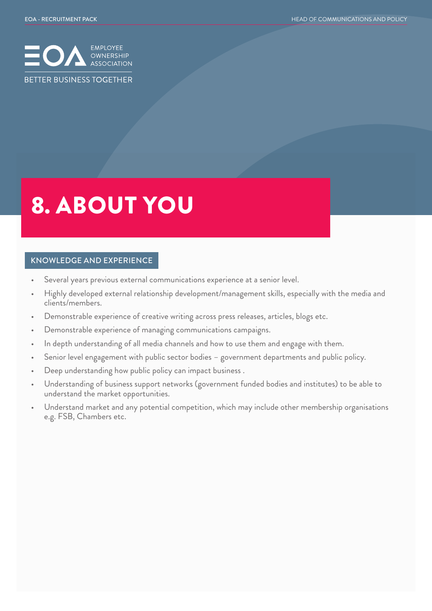

# 8. ABOUT YOU

#### KNOWLEDGE AND EXPERIENCE

- Several years previous external communications experience at a senior level.
- Highly developed external relationship development/management skills, especially with the media and clients/members.
- Demonstrable experience of creative writing across press releases, articles, blogs etc.
- Demonstrable experience of managing communications campaigns.
- In depth understanding of all media channels and how to use them and engage with them.
- Senior level engagement with public sector bodies government departments and public policy.
- Deep understanding how public policy can impact business .
- Understanding of business support networks (government funded bodies and institutes) to be able to understand the market opportunities.
- Understand market and any potential competition, which may include other membership organisations e.g. FSB, Chambers etc.